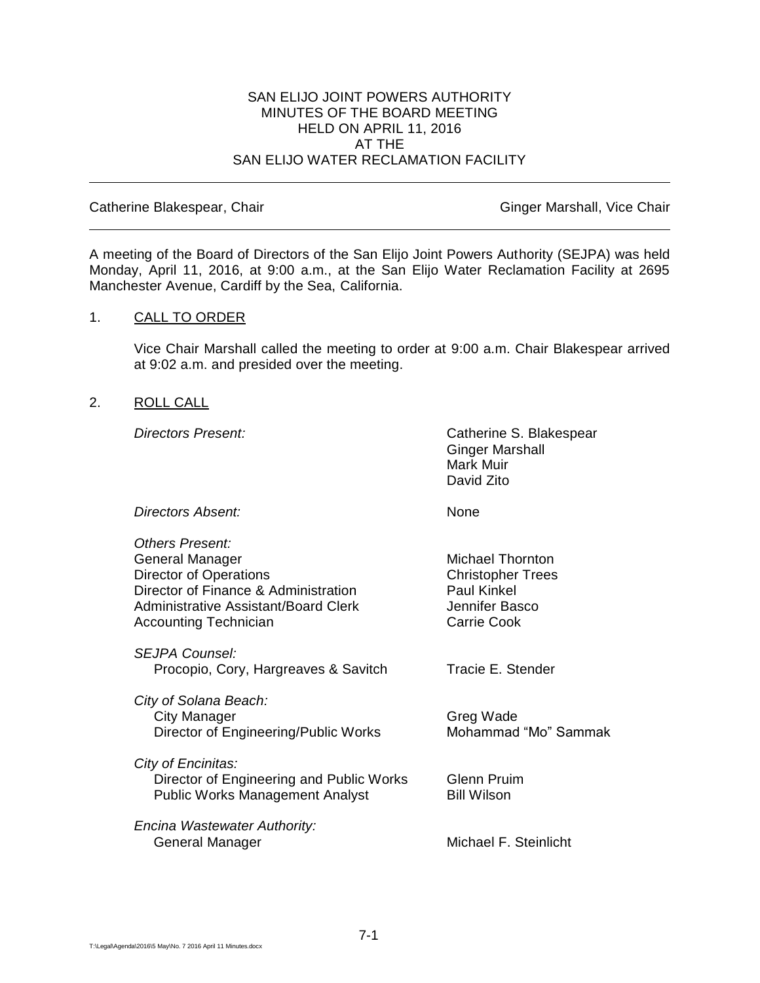### SAN ELIJO JOINT POWERS AUTHORITY MINUTES OF THE BOARD MEETING HELD ON APRIL 11, 2016 AT THE SAN ELIJO WATER RECLAMATION FACILITY

Catherine Blakespear, Chair Ginger Marshall, Vice Chair Ginger Marshall, Vice Chair

A meeting of the Board of Directors of the San Elijo Joint Powers Authority (SEJPA) was held Monday, April 11, 2016, at 9:00 a.m., at the San Elijo Water Reclamation Facility at 2695 Manchester Avenue, Cardiff by the Sea, California.

### 1. CALL TO ORDER

Vice Chair Marshall called the meeting to order at 9:00 a.m. Chair Blakespear arrived at 9:02 a.m. and presided over the meeting.

## 2. ROLL CALL

**Directors Present:** Catherine S. Blakespear Ginger Marshall Mark Muir David Zito

| Directors Absent: | None |
|-------------------|------|
|                   |      |

*Others Present:* General Manager Michael Thornton Director of Operations Christopher Trees Director of Finance & Administration Paul Kinkel Administrative Assistant/Board Clerk and Dennifer Basco<br>Accounting Technician between the Carrie Cook Accounting Technician

*SEJPA Counsel:* Procopio, Cory, Hargreaves & Savitch Tracie E. Stender

*City of Solana Beach:* City Manager Greg Wade Director of Engineering/Public Works Mohammad "Mo" Sammak

*City of Encinitas:* **Director of Engineering and Public Works Glenn Pruim** Public Works Management Analyst Bill Wilson

*Encina Wastewater Authority:* General Manager Michael F. Steinlicht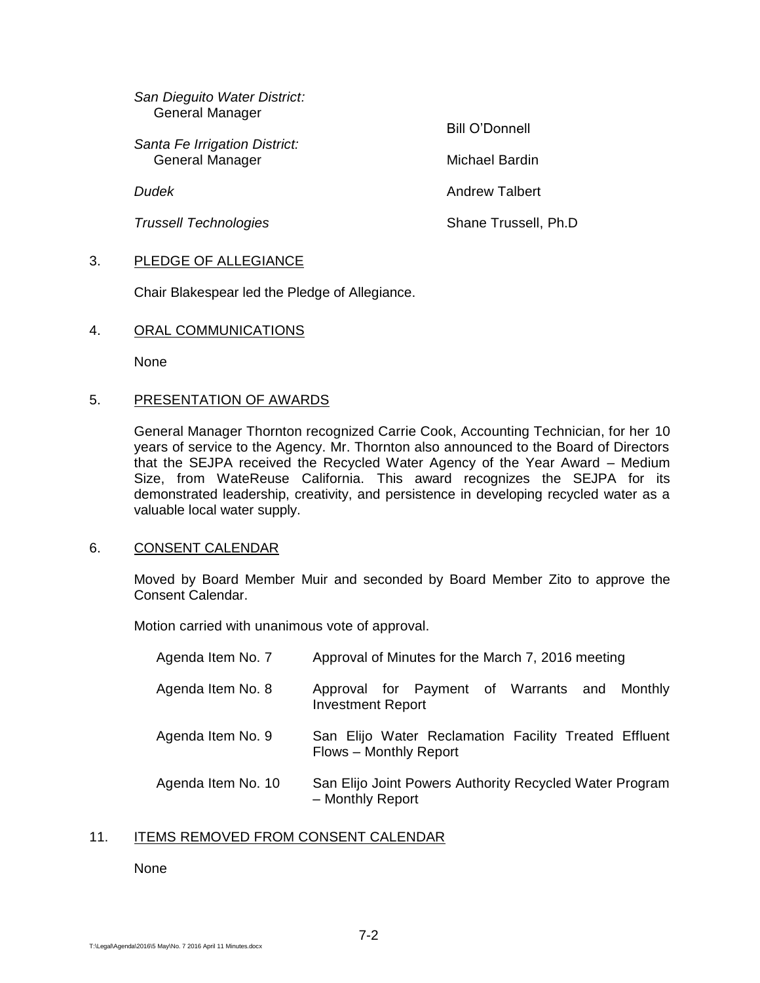| San Dieguito Water District:<br>General Manager |                      |
|-------------------------------------------------|----------------------|
| Santa Fe Irrigation District:                   | Bill O'Donnell       |
| General Manager                                 | Michael Bardin       |
| Dudek                                           | Andrew Talbert       |
| <b>Trussell Technologies</b>                    | Shane Trussell, Ph.D |
|                                                 |                      |

# 3. PLEDGE OF ALLEGIANCE

Chair Blakespear led the Pledge of Allegiance.

### 4. ORAL COMMUNICATIONS

None

## 5. PRESENTATION OF AWARDS

General Manager Thornton recognized Carrie Cook, Accounting Technician, for her 10 years of service to the Agency. Mr. Thornton also announced to the Board of Directors that the SEJPA received the Recycled Water Agency of the Year Award – Medium Size, from WateReuse California. This award recognizes the SEJPA for its demonstrated leadership, creativity, and persistence in developing recycled water as a valuable local water supply.

### 6. CONSENT CALENDAR

Moved by Board Member Muir and seconded by Board Member Zito to approve the Consent Calendar.

Motion carried with unanimous vote of approval.

| Agenda Item No. 7  | Approval of Minutes for the March 7, 2016 meeting                               |
|--------------------|---------------------------------------------------------------------------------|
| Agenda Item No. 8  | Approval for Payment of Warrants and Monthly<br><b>Investment Report</b>        |
| Agenda Item No. 9  | San Elijo Water Reclamation Facility Treated Effluent<br>Flows - Monthly Report |
| Agenda Item No. 10 | San Elijo Joint Powers Authority Recycled Water Program<br>- Monthly Report     |

# 11. ITEMS REMOVED FROM CONSENT CALENDAR

### None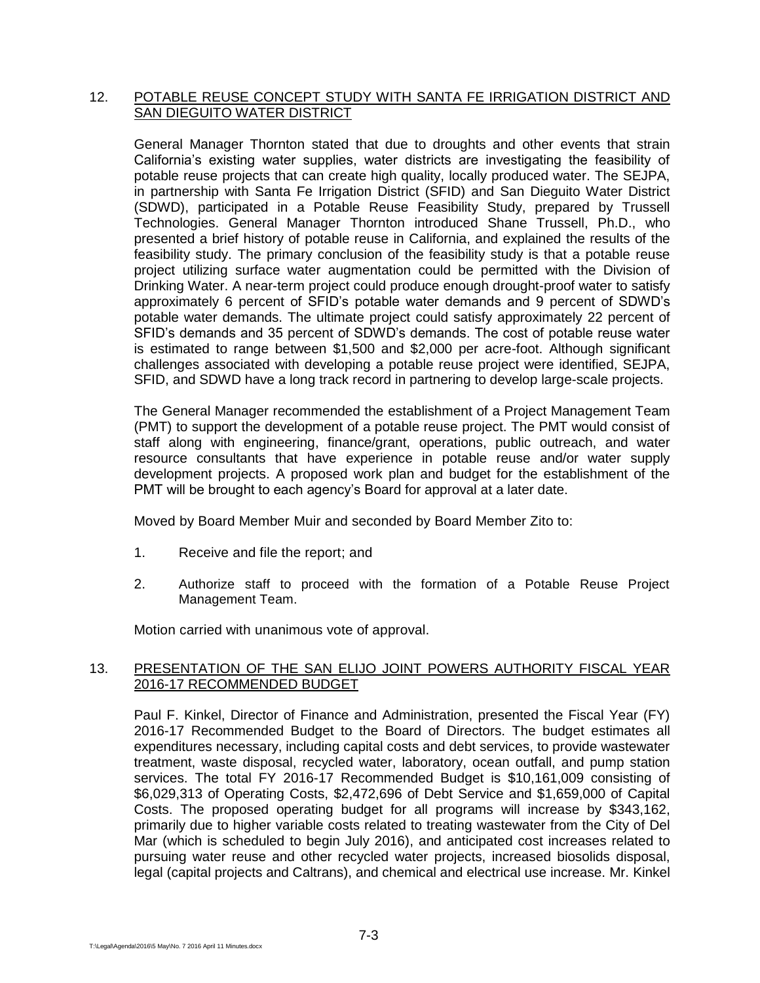# 12. POTABLE REUSE CONCEPT STUDY WITH SANTA FE IRRIGATION DISTRICT AND SAN DIEGUITO WATER DISTRICT

General Manager Thornton stated that due to droughts and other events that strain California's existing water supplies, water districts are investigating the feasibility of potable reuse projects that can create high quality, locally produced water. The SEJPA, in partnership with Santa Fe Irrigation District (SFID) and San Dieguito Water District (SDWD), participated in a Potable Reuse Feasibility Study, prepared by Trussell Technologies. General Manager Thornton introduced Shane Trussell, Ph.D., who presented a brief history of potable reuse in California, and explained the results of the feasibility study. The primary conclusion of the feasibility study is that a potable reuse project utilizing surface water augmentation could be permitted with the Division of Drinking Water. A near-term project could produce enough drought-proof water to satisfy approximately 6 percent of SFID's potable water demands and 9 percent of SDWD's potable water demands. The ultimate project could satisfy approximately 22 percent of SFID's demands and 35 percent of SDWD's demands. The cost of potable reuse water is estimated to range between \$1,500 and \$2,000 per acre-foot. Although significant challenges associated with developing a potable reuse project were identified, SEJPA, SFID, and SDWD have a long track record in partnering to develop large-scale projects.

The General Manager recommended the establishment of a Project Management Team (PMT) to support the development of a potable reuse project. The PMT would consist of staff along with engineering, finance/grant, operations, public outreach, and water resource consultants that have experience in potable reuse and/or water supply development projects. A proposed work plan and budget for the establishment of the PMT will be brought to each agency's Board for approval at a later date.

Moved by Board Member Muir and seconded by Board Member Zito to:

- 1. Receive and file the report; and
- 2. Authorize staff to proceed with the formation of a Potable Reuse Project Management Team.

Motion carried with unanimous vote of approval.

### 13. PRESENTATION OF THE SAN ELIJO JOINT POWERS AUTHORITY FISCAL YEAR 2016-17 RECOMMENDED BUDGET

Paul F. Kinkel, Director of Finance and Administration, presented the Fiscal Year (FY) 2016-17 Recommended Budget to the Board of Directors. The budget estimates all expenditures necessary, including capital costs and debt services, to provide wastewater treatment, waste disposal, recycled water, laboratory, ocean outfall, and pump station services. The total FY 2016-17 Recommended Budget is \$10,161,009 consisting of \$6,029,313 of Operating Costs, \$2,472,696 of Debt Service and \$1,659,000 of Capital Costs. The proposed operating budget for all programs will increase by \$343,162, primarily due to higher variable costs related to treating wastewater from the City of Del Mar (which is scheduled to begin July 2016), and anticipated cost increases related to pursuing water reuse and other recycled water projects, increased biosolids disposal, legal (capital projects and Caltrans), and chemical and electrical use increase. Mr. Kinkel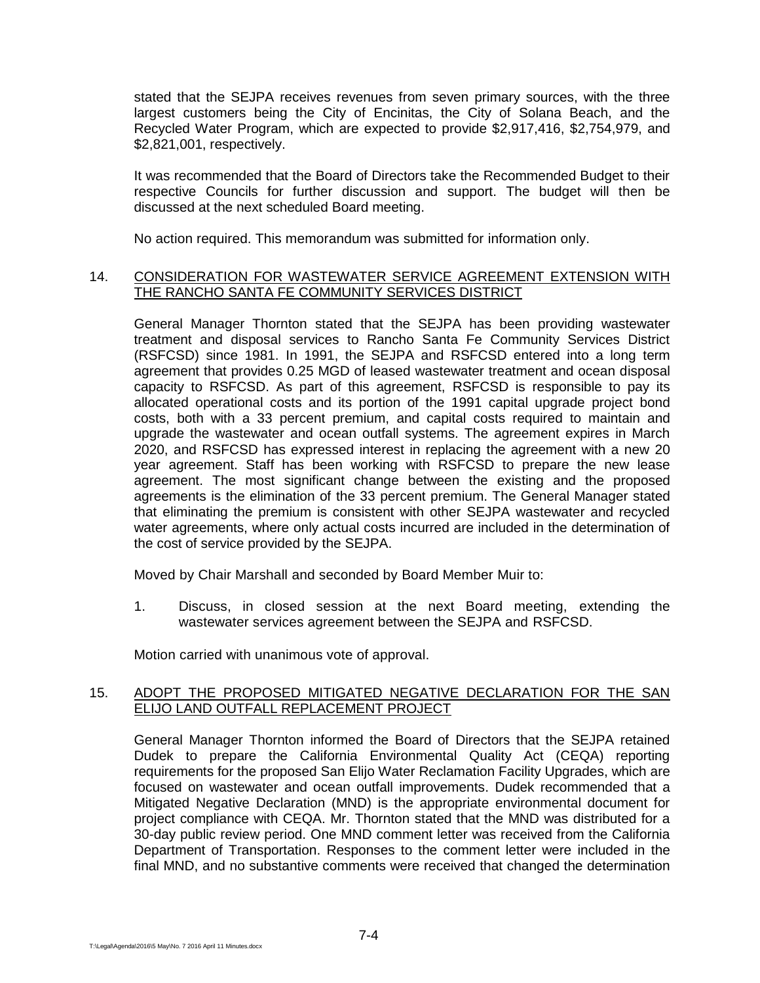stated that the SEJPA receives revenues from seven primary sources, with the three largest customers being the City of Encinitas, the City of Solana Beach, and the Recycled Water Program, which are expected to provide \$2,917,416, \$2,754,979, and \$2,821,001, respectively.

It was recommended that the Board of Directors take the Recommended Budget to their respective Councils for further discussion and support. The budget will then be discussed at the next scheduled Board meeting.

No action required. This memorandum was submitted for information only.

# 14. CONSIDERATION FOR WASTEWATER SERVICE AGREEMENT EXTENSION WITH THE RANCHO SANTA FE COMMUNITY SERVICES DISTRICT

General Manager Thornton stated that the SEJPA has been providing wastewater treatment and disposal services to Rancho Santa Fe Community Services District (RSFCSD) since 1981. In 1991, the SEJPA and RSFCSD entered into a long term agreement that provides 0.25 MGD of leased wastewater treatment and ocean disposal capacity to RSFCSD. As part of this agreement, RSFCSD is responsible to pay its allocated operational costs and its portion of the 1991 capital upgrade project bond costs, both with a 33 percent premium, and capital costs required to maintain and upgrade the wastewater and ocean outfall systems. The agreement expires in March 2020, and RSFCSD has expressed interest in replacing the agreement with a new 20 year agreement. Staff has been working with RSFCSD to prepare the new lease agreement. The most significant change between the existing and the proposed agreements is the elimination of the 33 percent premium. The General Manager stated that eliminating the premium is consistent with other SEJPA wastewater and recycled water agreements, where only actual costs incurred are included in the determination of the cost of service provided by the SEJPA.

Moved by Chair Marshall and seconded by Board Member Muir to:

1. Discuss, in closed session at the next Board meeting, extending the wastewater services agreement between the SEJPA and RSFCSD.

Motion carried with unanimous vote of approval.

### 15. ADOPT THE PROPOSED MITIGATED NEGATIVE DECLARATION FOR THE SAN ELIJO LAND OUTFALL REPLACEMENT PROJECT

General Manager Thornton informed the Board of Directors that the SEJPA retained Dudek to prepare the California Environmental Quality Act (CEQA) reporting requirements for the proposed San Elijo Water Reclamation Facility Upgrades, which are focused on wastewater and ocean outfall improvements. Dudek recommended that a Mitigated Negative Declaration (MND) is the appropriate environmental document for project compliance with CEQA. Mr. Thornton stated that the MND was distributed for a 30-day public review period. One MND comment letter was received from the California Department of Transportation. Responses to the comment letter were included in the final MND, and no substantive comments were received that changed the determination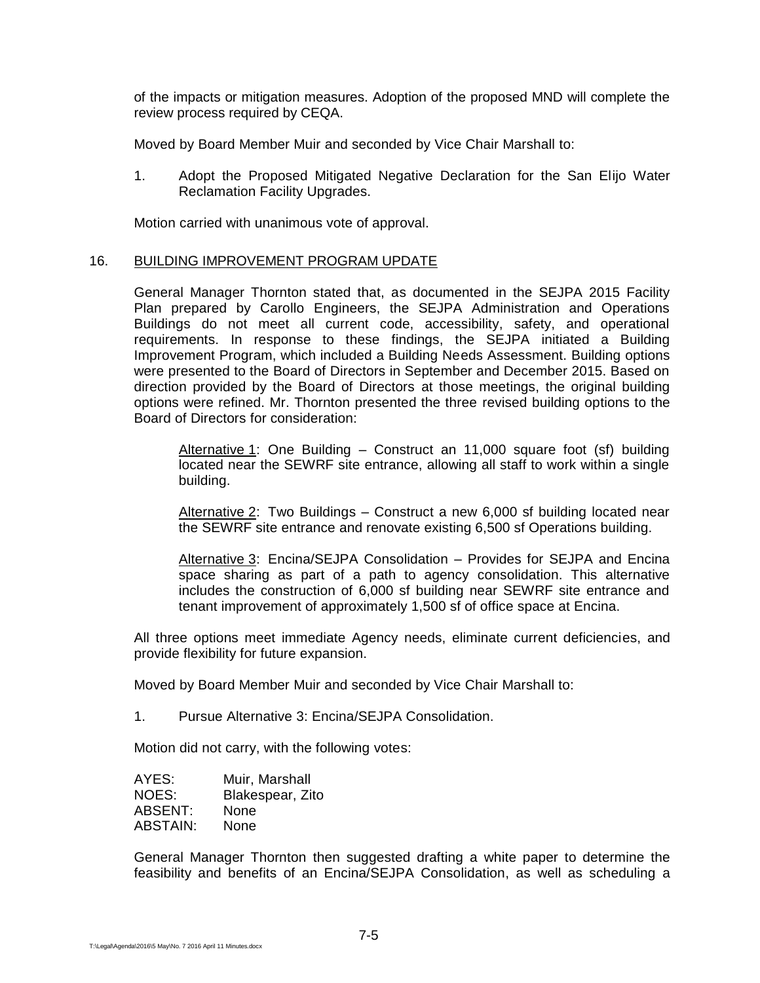of the impacts or mitigation measures. Adoption of the proposed MND will complete the review process required by CEQA.

Moved by Board Member Muir and seconded by Vice Chair Marshall to:

1. Adopt the Proposed Mitigated Negative Declaration for the San Elijo Water Reclamation Facility Upgrades.

Motion carried with unanimous vote of approval.

#### 16. BUILDING IMPROVEMENT PROGRAM UPDATE

General Manager Thornton stated that, as documented in the SEJPA 2015 Facility Plan prepared by Carollo Engineers, the SEJPA Administration and Operations Buildings do not meet all current code, accessibility, safety, and operational requirements. In response to these findings, the SEJPA initiated a Building Improvement Program, which included a Building Needs Assessment. Building options were presented to the Board of Directors in September and December 2015. Based on direction provided by the Board of Directors at those meetings, the original building options were refined. Mr. Thornton presented the three revised building options to the Board of Directors for consideration:

Alternative 1: One Building  $-$  Construct an 11,000 square foot (sf) building located near the SEWRF site entrance, allowing all staff to work within a single building.

Alternative 2: Two Buildings - Construct a new 6,000 sf building located near the SEWRF site entrance and renovate existing 6,500 sf Operations building.

Alternative 3: Encina/SEJPA Consolidation – Provides for SEJPA and Encina space sharing as part of a path to agency consolidation. This alternative includes the construction of 6,000 sf building near SEWRF site entrance and tenant improvement of approximately 1,500 sf of office space at Encina.

All three options meet immediate Agency needs, eliminate current deficiencies, and provide flexibility for future expansion.

Moved by Board Member Muir and seconded by Vice Chair Marshall to:

1. Pursue Alternative 3: Encina/SEJPA Consolidation.

Motion did not carry, with the following votes:

| AYES:    | Muir, Marshall   |
|----------|------------------|
| NOES:    | Blakespear, Zito |
| ABSENT:  | None             |
| ABSTAIN: | None             |

General Manager Thornton then suggested drafting a white paper to determine the feasibility and benefits of an Encina/SEJPA Consolidation, as well as scheduling a